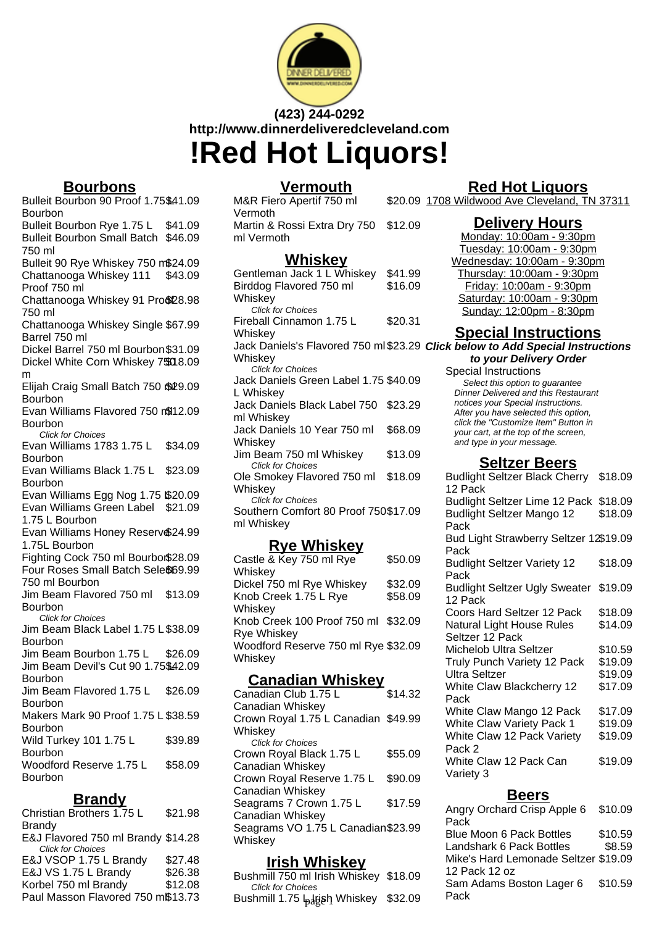

# **(423) 244-0292 http://www.dinnerdeliveredcleveland.com !Red Hot Liquors!**

## **Bourbons**

Bulleit Bourbon 90 Proof 1.75\$41.09 Bourbon

Bulleit Bourbon Rye 1.75 L \$41.09 Bulleit Bourbon Small Batch \$46.09 750 ml

Bulleit 90 Rye Whiskey 750 m\$24.09 Chattanooga Whiskey 111 Proof 750 ml \$43.09

Chattanooga Whiskey 91 Pro\$28.98 750 ml

Chattanooga Whiskey Single \$67.99 Barrel 750 ml

Dickel Barrel 750 ml Bourbon\$31.09 Dickel White Corn Whiskey 7\$00 8.09 m

Elijah Craig Small Batch 750 \$29.09 Bourbon

Evan Williams Flavored 750 m\$12.09 **Bourbon** 

Click for Choices Evan Williams 1783 1.75 L Bourbon \$34.09

Evan Williams Black 1.75 L \$23.09 Bourbon

Evan Williams Egg Nog 1.75 \$20.09 Evan Williams Green Label \$21.09

1.75 L Bourbon

Evan Williams Honey Reserv \$24.99 1.75L Bourbon

Fighting Cock 750 ml Bourbon\$28.09 Four Roses Small Batch Sele\$69.99 750 ml Bourbon

Jim Beam Flavored 750 ml \$13.09 Bourbon

Click for Choices

Jim Beam Black Label 1.75 L \$38.09 Bourbon

Jim Beam Bourbon 1.75 L \$26.09 Jim Beam Devil's Cut 90 1.75\$42.09 Bourbon Jim Beam Flavored 1.75 L Bourbon \$26.09 Makers Mark 90 Proof 1.75 L \$38.59 Bourbon Wild Turkey 101 1.75 L \$39.89

Bourbon Woodford Reserve 1.75 L Bourbon \$58.09

# **Brandy**

Christian Brothers 1.75 L Brandy \$21.98 E&J Flavored 750 ml Brandy \$14.28 Click for Choices E&J VSOP 1.75 L Brandy \$27.48 E&J VS 1.75 L Brandy \$26.38 Korbel 750 ml Brandy \$12.08 Paul Masson Flavored 750 m\$13.73

## **Vermouth**

M&R Fiero Apertif 750 ml Vermoth Martin & Rossi Extra Dry 750 ml Vermoth \$12.09

## **Whiskey**

| Gentleman Jack 1 L Whiskey<br>Birddog Flavored 750 ml | \$41.99<br>\$16.09 |  |
|-------------------------------------------------------|--------------------|--|
| Whiskey                                               |                    |  |
| <b>Click for Choices</b>                              |                    |  |
| Fireball Cinnamon 1.75 L                              | \$20.31            |  |
| Whiskey                                               |                    |  |
| Jack Daniels's Flavored 750 ml \$23.29                |                    |  |
| Whiskey                                               |                    |  |
| <b>Click for Choices</b>                              |                    |  |
| Jack Daniels Green Label 1.75 \$40.09                 |                    |  |
| L Whiskey                                             |                    |  |
| Jack Daniels Black Label 750                          | \$23.29            |  |
| ml Whiskey                                            |                    |  |
| Jack Daniels 10 Year 750 ml                           | \$68.09            |  |
| Whiskey                                               |                    |  |
| Jim Beam 750 ml Whiskey                               | \$13.09            |  |
| <b>Click for Choices</b>                              |                    |  |
| Ole Smokey Flavored 750 ml                            | \$18.09            |  |
| Whiskey                                               |                    |  |
| <b>Click for Choices</b>                              |                    |  |
| Southern Comfort 80 Proof 750\$17.09                  |                    |  |
| ml Whiskey                                            |                    |  |
|                                                       |                    |  |

## **Rye Whiskey**

| Canadian Whiskey                                   |         |
|----------------------------------------------------|---------|
| Whiskey                                            |         |
| Woodford Reserve 750 ml Rye \$32.09                |         |
| Knob Creek 100 Proof 750 ml \$32.09<br>Rye Whiskey |         |
| Whiskey                                            |         |
| Knob Creek 1.75 L Rye                              | \$58.09 |
| Dickel 750 ml Rye Whiskey                          | \$32.09 |
| Whiskey                                            |         |
| Castle & Key 750 ml Rye                            | \$50.09 |

| <b>CHICOLOGII</b>                   |         |
|-------------------------------------|---------|
| Canadian Club 1.75 L                | \$14.32 |
| Canadian Whiskey                    |         |
| Crown Royal 1.75 L Canadian \$49.99 |         |
| Whiskey                             |         |
| <b>Click for Choices</b>            |         |
| Crown Royal Black 1.75 L            | \$55.09 |
| Canadian Whiskey                    |         |
| Crown Royal Reserve 1.75 L          | \$90.09 |
| Canadian Whiskey                    |         |
| Seagrams 7 Crown 1.75 L             | \$17.59 |
| Canadian Whiskey                    |         |
| Seagrams VO 1.75 L Canadian \$23.99 |         |
| Whiskey                             |         |
|                                     |         |

## **Irish Whiskey**

Bushmill 750 ml Irish Whiskey \$18.09 Click for Choices Bushmill 1.75 l<sub>p</sub>.l̥gish Whiskey \$32.09

## **Red Hot Liquors**

\$20.09 1708 Wildwood Ave Cleveland, TN 37311

#### **Delivery Hours**

Monday: 10:00am - 9:30pm Tuesday: 10:00am - 9:30pm Wednesday: 10:00am - 9:30pm Thursday: 10:00am - 9:30pm Friday: 10:00am - 9:30pm Saturday: 10:00am - 9:30pm Sunday: 12:00pm - 8:30pm

## **Special Instructions**

#### **Click below to Add Special Instructions to your Delivery Order**

Special Instructions Select this option to quarantee Dinner Delivered and this Restaurant notices your Special Instructions. After you have selected this option, click the "Customize Item" Button in your cart, at the top of the screen, and type in your message.

### **Seltzer Beers**

| Budlight Seltzer Black Cherry \$18.09<br>12 Pack |         |
|--------------------------------------------------|---------|
| Budlight Seltzer Lime 12 Pack \$18.09            |         |
| <b>Budlight Seltzer Mango 12</b>                 | \$18.09 |
| Pack                                             |         |
| Bud Light Strawberry Seltzer 12\$19.09<br>Pack   |         |
| <b>Budlight Seltzer Variety 12</b><br>Pack       | \$18.09 |
| Budlight Seltzer Ugly Sweater \$19.09<br>12 Pack |         |
| Coors Hard Seltzer 12 Pack                       | \$18.09 |
| <b>Natural Light House Rules</b>                 | \$14.09 |
| Seltzer 12 Pack                                  |         |
| Michelob Ultra Seltzer                           | \$10.59 |
| Truly Punch Variety 12 Pack                      | \$19.09 |
| Ultra Seltzer                                    | \$19.09 |
| <b>White Claw Blackcherry 12</b>                 | \$17.09 |
| Pack                                             |         |
| White Claw Mango 12 Pack                         | \$17.09 |
| <b>White Claw Variety Pack 1</b>                 | \$19.09 |
| White Claw 12 Pack Variety<br>Pack 2             | \$19.09 |
| White Claw 12 Pack Can<br>Variety 3              | \$19.09 |

#### **Beers**

| Angry Orchard Crisp Apple 6          | \$10.09 |
|--------------------------------------|---------|
| Pack                                 |         |
| <b>Blue Moon 6 Pack Bottles</b>      | \$10.59 |
| Landshark 6 Pack Bottles             | \$8.59  |
| Mike's Hard Lemonade Seltzer \$19.09 |         |
| 12 Pack 12 oz                        |         |
| Sam Adams Boston Lager 6             | \$10.59 |
| Pack                                 |         |
|                                      |         |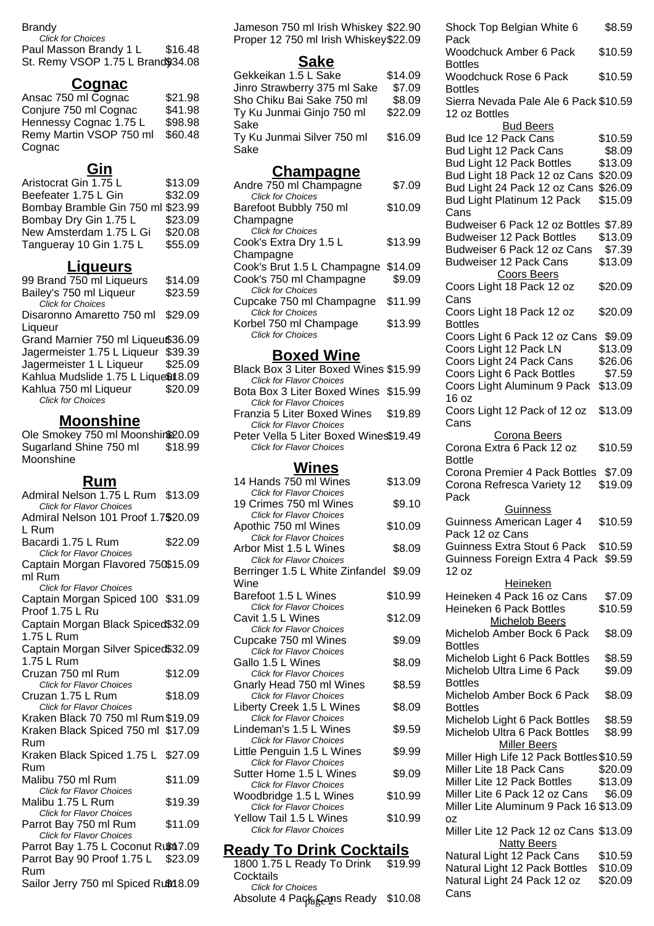#### Brandy

Click for Choices Paul Masson Brandy 1 L \$16.48 St. Remy VSOP 1.75 L Brand\$34.08

## **Cognac**

| Ansac 750 ml Cognac     | \$21.98 |
|-------------------------|---------|
| Conjure 750 ml Cognac   | \$41.98 |
| Hennessy Cognac 1.75 L  | \$98.98 |
| Remy Martin VSOP 750 ml | \$60.48 |
| Cognac                  |         |

### **Gin**

| Aristocrat Gin 1.75 L             | \$13.09 |
|-----------------------------------|---------|
| Beefeater 1.75 L Gin              | \$32.09 |
| Bombay Bramble Gin 750 ml \$23.99 |         |
| Bombay Dry Gin 1.75 L             | \$23.09 |
| New Amsterdam 1.75 L Gi           | \$20.08 |
| Tangueray 10 Gin 1.75 L           | \$55.09 |

## **Liqueurs**

| 99 Brand 750 ml Liqueurs            | \$14.09 |
|-------------------------------------|---------|
| Bailey's 750 ml Liqueur             | \$23.59 |
| <b>Click for Choices</b>            |         |
| Disaronno Amaretto 750 ml           | \$29.09 |
| Liqueur                             |         |
| Grand Marnier 750 ml Liqueu\$36.09  |         |
| Jagermeister 1.75 L Liqueur \$39.39 |         |
| Jagermeister 1 L Liqueur            | \$25.09 |
| Kahlua Mudslide 1.75 L Lique\$18.09 |         |
| Kahlua 750 ml Liqueur               | \$20.09 |
| <b>Click for Choices</b>            |         |
|                                     |         |

## **Moonshine**

Ole Smokey 750 ml Moonshin<sup>820.09</sup> Sugarland Shine 750 ml **Moonshine** \$18.99

#### **Rum**

| Admiral Nelson 1.75 L Rum \$13.09   |         |
|-------------------------------------|---------|
| <b>Click for Flavor Choices</b>     |         |
| Admiral Nelson 101 Proof 1.7\$20.09 |         |
| L Rum                               |         |
| Bacardi 1.75 L Rum                  | \$22.09 |
| Click for Flavor Choices            |         |
| Captain Morgan Flavored 750\$15.09  |         |
| ml Rum                              |         |
| <b>Click for Flavor Choices</b>     |         |
| Captain Morgan Spiced 100 \$31.09   |         |
| Proof 1.75 L Ru                     |         |
| Captain Morgan Black Spiced\$32.09  |         |
| 1.75 L Rum                          |         |
| Captain Morgan Silver Spiced\$32.09 |         |
| 1.75 L Rum                          |         |
| Cruzan 750 ml Rum                   | \$12.09 |
| <b>Click for Flavor Choices</b>     |         |
| Cruzan 1.75 L Rum                   | \$18.09 |
| <b>Click for Flavor Choices</b>     |         |
| Kraken Black 70 750 ml Rum \$19.09  |         |
| Kraken Black Spiced 750 ml \$17.09  |         |
| Rum                                 |         |
| Kraken Black Spiced 1.75 L          | \$27.09 |
| Rum                                 |         |
| Malibu 750 ml Rum                   | \$11.09 |
| <b>Click for Flavor Choices</b>     |         |
| Malibu 1.75 L Rum                   | \$19.39 |
| <b>Click for Flavor Choices</b>     |         |
| Parrot Bay 750 ml Rum               | \$11.09 |
| <b>Click for Flavor Choices</b>     |         |
| Parrot Bay 1.75 L Coconut Rum17.09  |         |
| Parrot Bay 90 Proof 1.75 L \$23.09  |         |
| Rum                                 |         |
| Sailor Jerry 750 ml Spiced Rum 8.09 |         |

Jameson 750 ml Irish Whiskey \$22.90 Proper 12 750 ml Irish Whiskey\$22.09

#### **Sake**

| Gekkeikan 1.5 L Sake         | \$14.09 |
|------------------------------|---------|
| Jinro Strawberry 375 ml Sake | \$7.09  |
| Sho Chiku Bai Sake 750 ml    | \$8.09  |
| Ty Ku Junmai Ginjo 750 ml    | \$22.09 |
| Sake                         |         |
| Ty Ku Junmai Silver 750 ml   | \$16.09 |
| Sake                         |         |

#### **Champagne**

| Andre 750 ml Champagne      | \$7.09  |
|-----------------------------|---------|
| <b>Click for Choices</b>    |         |
| Barefoot Bubbly 750 ml      | \$10.09 |
| Champagne                   |         |
| <b>Click for Choices</b>    |         |
| Cook's Extra Dry 1.5 L      | \$13.99 |
| Champagne                   |         |
| Cook's Brut 1.5 L Champagne | \$14.09 |
| Cook's 750 ml Champagne     | \$9.09  |
| <b>Click for Choices</b>    |         |
| Cupcake 750 ml Champagne    | \$11.99 |
| <b>Click for Choices</b>    |         |
| Korbel 750 ml Champage      | \$13.99 |
| <b>Click for Choices</b>    |         |
|                             |         |

#### **Boxed Wine**

| Black Box 3 Liter Boxed Wines \$15.99  |  |
|----------------------------------------|--|
| <b>Click for Flavor Choices</b>        |  |
| Bota Box 3 Liter Boxed Wines \$15.99   |  |
| <b>Click for Flavor Choices</b>        |  |
| Franzia 5 Liter Boxed Wines \$19.89    |  |
| <b>Click for Flavor Choices</b>        |  |
| Peter Vella 5 Liter Boxed Wines\$19.49 |  |
| <b>Click for Flavor Choices</b>        |  |

#### **Wines**

| 14 Hands 750 ml Wines                                      | \$13.09 |
|------------------------------------------------------------|---------|
| <b>Click for Flavor Choices</b><br>19 Crimes 750 ml Wines  | \$9.10  |
| <b>Click for Flavor Choices</b>                            |         |
| Apothic 750 ml Wines                                       | \$10.09 |
| <b>Click for Flavor Choices</b>                            |         |
| Arbor Mist 1.5 L Wines                                     | \$8.09  |
| <b>Click for Flavor Choices</b>                            |         |
| Berringer 1.5 L White Zinfandel \$9.09                     |         |
| Wine                                                       |         |
| Barefoot 1.5 L Wines                                       | \$10.99 |
| <b>Click for Flavor Choices</b>                            |         |
| Cavit 1.5 L Wines                                          | \$12.09 |
| <b>Click for Flavor Choices</b>                            |         |
| Cupcake 750 ml Wines                                       | \$9.09  |
| <b>Click for Flavor Choices</b><br>Gallo 1.5 L Wines       |         |
| <b>Click for Flavor Choices</b>                            | \$8.09  |
| Gnarly Head 750 ml Wines                                   | \$8.59  |
| <b>Click for Flavor Choices</b>                            |         |
| Liberty Creek 1.5 L Wines                                  | \$8.09  |
| <b>Click for Flavor Choices</b>                            |         |
| Lindeman's 1.5 L Wines                                     | \$9.59  |
| <b>Click for Flavor Choices</b>                            |         |
| Little Penguin 1.5 L Wines                                 | \$9.99  |
| <b>Click for Flavor Choices</b>                            |         |
| Sutter Home 1.5 L Wines                                    | \$9.09  |
| <b>Click for Flavor Choices</b>                            |         |
| Woodbridge 1.5 L Wines                                     | \$10.99 |
| <b>Click for Flavor Choices</b>                            |         |
| Yellow Tail 1.5 L Wines<br><b>Click for Flavor Choices</b> | \$10.99 |
|                                                            |         |
|                                                            |         |

#### **Ready To Drink Cocktails**

1800 1.75 L Ready To Drink \$19.99 **Cocktails** Click for Choices Absolute 4 Pack Cans Ready \$10.08

| Shock Top Belgian White 6                                                    | \$8.59            |
|------------------------------------------------------------------------------|-------------------|
| Pack<br><b>Woodchuck Amber 6 Pack</b><br><b>Bottles</b>                      | \$10.59           |
| <b>Woodchuck Rose 6 Pack</b>                                                 | \$10.59           |
| <b>Bottles</b><br>Sierra Nevada Pale Ale 6 Pack \$10.59<br>12 oz Bottles     |                   |
| <b>Bud Beers</b><br>Bud Ice 12 Pack Cans                                     | \$10.59           |
| Bud Light 12 Pack Cans                                                       | \$8.09            |
| Bud Light 12 Pack Bottles                                                    | \$13.09           |
| Bud Light 18 Pack 12 oz Cans                                                 | \$20.09           |
| Bud Light 24 Pack 12 oz Cans                                                 | \$26.09           |
| Bud Light Platinum 12 Pack<br>Cans                                           | \$15.09           |
| Budweiser 6 Pack 12 oz Bottles \$7.89                                        |                   |
| <b>Budweiser 12 Pack Bottles</b>                                             | \$13.09           |
| Budweiser 6 Pack 12 oz Cans                                                  | \$7.39            |
| <b>Budweiser 12 Pack Cans</b><br><b>Coors Beers</b>                          | \$13.09           |
| Coors Light 18 Pack 12 oz<br>Cans                                            | \$20.09           |
| Coors Light 18 Pack 12 oz<br><b>Bottles</b>                                  | \$20.09           |
| Coors Light 6 Pack 12 oz Cans                                                | \$9.09            |
| Coors Light 12 Pack LN                                                       | \$13.09           |
| Coors Light 24 Pack Cans                                                     | \$26.06           |
| Coors Light 6 Pack Bottles                                                   | \$7.59            |
| Coors Light Aluminum 9 Pack                                                  | \$13.09           |
| 16 oz<br>Coors Light 12 Pack of 12 oz                                        | \$13.09           |
| Cans<br><b>Corona Beers</b>                                                  |                   |
| Corona Extra 6 Pack 12 oz                                                    | \$10.59           |
| <b>Bottle</b><br>Corona Premier 4 Pack Bottles<br>Corona Refresca Variety 12 | \$7.09<br>\$19.09 |
| Pack<br><b>Guinness</b>                                                      |                   |
| Guinness American Lager 4                                                    | \$10.59           |
| Pack 12 oz Cans                                                              |                   |
| Guinness Extra Stout 6 Pack \$10.59                                          |                   |
| Guinness Foreign Extra 4 Pack \$9.59<br>12 oz                                |                   |
| <b>Heineken</b>                                                              |                   |
| Heineken 4 Pack 16 oz Cans                                                   | \$7.09            |
| Heineken 6 Pack Bottles                                                      | \$10.59           |
| <b>Michelob Beers</b><br>Michelob Amber Bock 6 Pack                          | \$8.09            |
| <b>Bottles</b>                                                               |                   |
| Michelob Light 6 Pack Bottles                                                | \$8.59            |
| Michelob Ultra Lime 6 Pack                                                   | \$9.09            |
| <b>Bottles</b>                                                               |                   |
| Michelob Amber Bock 6 Pack<br><b>Bottles</b>                                 | \$8.09            |
| Michelob Light 6 Pack Bottles                                                | \$8.59            |
| Michelob Ultra 6 Pack Bottles                                                | \$8.99            |
| <b>Miller Beers</b><br>Miller High Life 12 Pack Bottles \$10.59              |                   |
| Miller Lite 18 Pack Cans                                                     | \$20.09           |
| Miller Lite 12 Pack Bottles                                                  | \$13.09           |
| Miller Lite 6 Pack 12 oz Cans                                                |                   |
| Miller Lite Aluminum 9 Pack 16 \$13.09                                       | \$6.09            |
|                                                                              |                   |
| ΟZ<br>Miller Lite 12 Pack 12 oz Cans \$13.09                                 |                   |
| <b>Natty Beers</b>                                                           |                   |
| Natural Light 12 Pack Cans                                                   | \$10.59           |
| Natural Light 12 Pack Bottles                                                | \$10.09           |
| Natural Light 24 Pack 12 oz<br>Cans                                          | \$20.09           |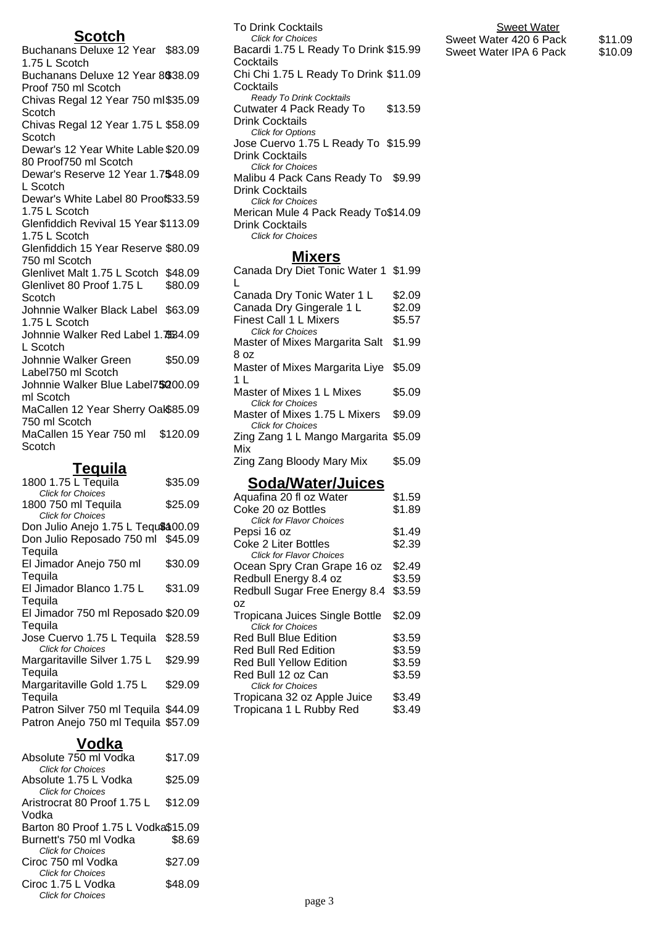#### **Scotch**

Buchanans Deluxe 12 Year \$83.09 1.75 L Scotch Buchanans Deluxe 12 Year 8\$38.09 Proof 750 ml Scotch Chivas Regal 12 Year 750 ml \$35.09 **Scotch** Chivas Regal 12 Year 1.75 L \$58.09 **Scotch** Dewar's 12 Year White Lable \$20.09 80 Proof750 ml Scotch Dewar's Reserve 12 Year 1.75 \$48.09 L Scotch Dewar's White Label 80 Proof \$33.59 1.75 L Scotch Glenfiddich Revival 15 Year \$113.09 1.75 L Scotch Glenfiddich 15 Year Reserve \$80.09 750 ml Scotch Glenlivet Malt 1.75 L Scotch \$48.09 Glenlivet 80 Proof 1.75 L **Scotch** \$80.09 Johnnie Walker Black Label \$63.09 1.75 L Scotch Johnnie Walker Red Label 1.75 \$34.09 L Scotch Johnnie Walker Green Label750 ml Scotch \$50.09 Johnnie Walker Blue Label7\$200.09 ml Scotch MaCallen 12 Year Sherry Oak \$85.09 750 ml Scotch MaCallen 15 Year 750 ml \$120.09 **Scotch** 

#### **Tequila**

| 1800 1.75 L Tequila                  | \$35.09 |
|--------------------------------------|---------|
| <b>Click for Choices</b>             |         |
| 1800 750 ml Tequila                  | \$25.09 |
| <b>Click for Choices</b>             |         |
| Don Julio Anejo 1.75 L Tequ\$400.09  |         |
| Don Julio Reposado 750 ml \$45.09    |         |
| Tequila                              |         |
| El Jimador Anejo 750 ml              | \$30.09 |
| Tequila                              |         |
| El Jimador Blanco 1.75 L             | \$31.09 |
| Teguila                              |         |
| El Jimador 750 ml Reposado \$20.09   |         |
| Tequila                              |         |
| Jose Cuervo 1.75 L Tequila           | \$28.59 |
| <b>Click for Choices</b>             |         |
| Margaritaville Silver 1.75 L         | \$29.99 |
| Tequila                              |         |
| Margaritaville Gold 1.75 L           | \$29.09 |
| Tequila                              |         |
| Patron Silver 750 ml Tequila \$44.09 |         |
| Patron Anejo 750 ml Tequila \$57.09  |         |

## **Vodka**

| Absolute 750 ml Vodka               | \$17.09 |
|-------------------------------------|---------|
| <b>Click for Choices</b>            |         |
| Absolute 1.75 L Vodka               | \$25.09 |
| <b>Click for Choices</b>            |         |
| Aristrocrat 80 Proof 1.75 L         | \$12.09 |
| Vodka                               |         |
| Barton 80 Proof 1.75 L Vodka\$15.09 |         |
| Burnett's 750 ml Vodka              | \$8.69  |
| <b>Click for Choices</b>            |         |
| Ciroc 750 ml Vodka                  | \$27.09 |
| <b>Click for Choices</b>            |         |
| Ciroc 1.75 L Vodka                  | \$48.09 |
| <b>Click for Choices</b>            |         |

To Drink Cocktails Click for Choices Bacardi 1.75 L Ready To Drink \$15.99 **Cocktails** Chi Chi 1.75 L Ready To Drink \$11.09 **Cocktails** Ready To Drink Cocktails Cutwater 4 Pack Ready To Drink Cocktails \$13.59 Click for Options Jose Cuervo 1.75 L Ready To \$15.99 Drink Cocktails Click for Choices Malibu 4 Pack Cans Ready To \$9.99 Drink Cocktails Click for Choices Merican Mule 4 Pack Ready To \$14.09

Drink Cocktails Click for Choices

#### **Mixers**

| Canada Dry Diet Tonic Water 1 \$1.99                       |        |
|------------------------------------------------------------|--------|
| Canada Dry Tonic Water 1 L                                 | \$2.09 |
| Canada Dry Gingerale 1 L                                   | \$2.09 |
| <b>Finest Call 1 L Mixers</b>                              | \$5.57 |
| <b>Click for Choices</b><br>Master of Mixes Margarita Salt | \$1.99 |
| 8 oz                                                       |        |
| Master of Mixes Margarita Liye                             | \$5.09 |
| 1 I<br>Master of Mixes 1 L Mixes                           | \$5.09 |
| <b>Click for Choices</b>                                   |        |
| Master of Mixes 1.75 L Mixers<br><b>Click for Choices</b>  | \$9.09 |
| Zing Zang 1 L Mango Margarita \$5.09                       |        |
| Mix                                                        |        |
| Zing Zang Bloody Mary Mix                                  | \$5.09 |
|                                                            |        |

#### **Soda/Water/Juices**

| Aquafina 20 fl oz Water         | \$1.59 |
|---------------------------------|--------|
| Coke 20 oz Bottles              | \$1.89 |
| <b>Click for Flavor Choices</b> |        |
| Pepsi 16 oz                     | \$1.49 |
| Coke 2 Liter Bottles            | \$2.39 |
| <b>Click for Flavor Choices</b> |        |
| Ocean Spry Cran Grape 16 oz     | \$2.49 |
| Redbull Energy 8.4 oz           | \$3.59 |
| Redbull Sugar Free Energy 8.4   | \$3.59 |
| ΟZ                              |        |
| Tropicana Juices Single Bottle  | \$2.09 |
| <b>Click for Choices</b>        |        |
| <b>Red Bull Blue Edition</b>    | \$3.59 |
| <b>Red Bull Red Edition</b>     | \$3.59 |
| Red Bull Yellow Edition         | \$3.59 |
| Red Bull 12 oz Can              | \$3.59 |
| <b>Click for Choices</b>        |        |
| Tropicana 32 oz Apple Juice     | \$3.49 |
| Tropicana 1 L Rubby Red         | \$3.49 |

#### **Sweet Water**